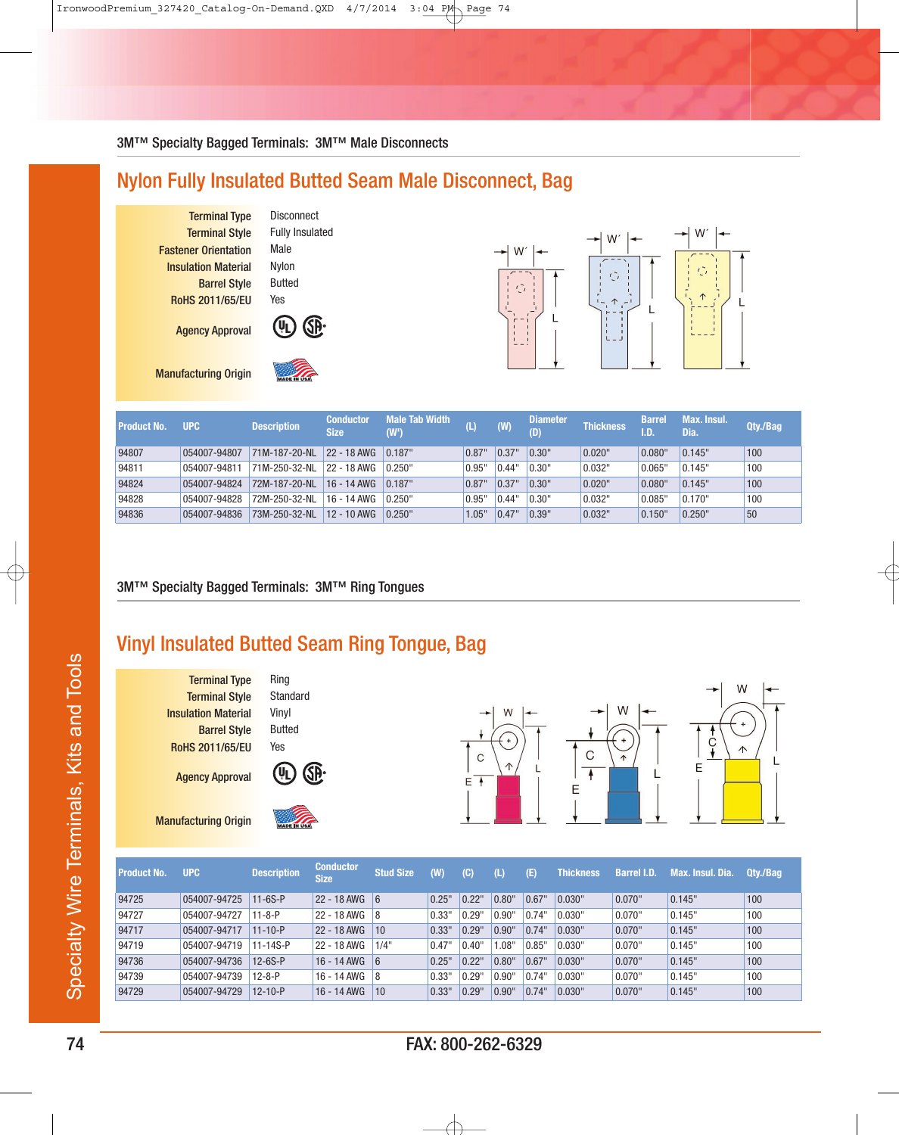## Nylon Fully Insulated Butted Seam Male Disconnect, Bag

Terminal Type Disconnect<br>Terminal Style Fully Insulated **Terminal Style Fastener Orientation Male Insulation Material Nylon Barrel Style** Butted RoHS 2011/65/EU Yes

Agency Approval



Manufacturing Origin



W<sup>-</sup>  $\mathbb{C}$  $\frac{1}{L}$ 



| <b>Product No.</b> | <b>UPC</b>   | <b>Description</b> | <b>Conductor</b><br><b>Size</b>   | Male Tab Width<br>(W') | $(\mathsf{L})$ | (W)   | <b>Diameter</b><br>(D) | <b>Thickness</b> | <b>Barrel</b><br>I.D. | Max. Insul.<br>Dia. | Qty./Bag |
|--------------------|--------------|--------------------|-----------------------------------|------------------------|----------------|-------|------------------------|------------------|-----------------------|---------------------|----------|
| 94807              | 054007-94807 | 71M-187-20-NL      | $22 - 18$ AWG $\vert 0.187 \vert$ |                        | 0.87"          | 0.37" | 0.30"                  | 0.020"           | 0.080"                | 0.145"              | 100      |
| 94811              | 054007-94811 | 71M-250-32-NL      | 22 - 18 AWG                       | 0.250"                 | 0.95"          | 0.44" | 0.30"                  | 0.032"           | 0.065"                | 0.145"              | 100      |
| 94824              | 054007-94824 | 72M-187-20-NL      | $16 - 14$ AWG                     | 0.187"                 | 0.87"          | 0.37" | 0.30"                  | 0.020"           | 0.080"                | 0.145"              | 100      |
| 94828              | 054007-94828 | 72M-250-32-NL      | $16 - 14$ AWG                     | 0.250"                 | 0.95"          | 0.44" | 0.30"                  | 0.032"           | 0.085"                | 0.170"              | 100      |
| 94836              | 054007-94836 | 73M-250-32-NL      | 12 - 10 AWG                       | 0.250"                 | 1.05"          | 0.47' | 0.39"                  | 0.032"           | 0.150"                | 0.250"              | 50       |

## 3M™ Specialty Bagged Terminals: 3M™ Ring Tongues

## Vinyl Insulated Butted Seam Ring Tongue, Bag

**Terminal Type Ring Terminal Style** Standard **Insulation Material Vinyl Barrel Style** Butted RoHS 2011/65/EU Yes

Agency Approval

Manufacturing Origin





| <b>Product No.</b> | <b>UPC</b>   | <b>Description</b> | <b>Conductor</b><br><b>Size</b> | <b>Stud Size</b> | (W)   | (C)   | U     | (E)   | <b>Thickness</b> | <b>Barrel I.D.</b> | Max. Insul. Dia. | Qty./Bag |
|--------------------|--------------|--------------------|---------------------------------|------------------|-------|-------|-------|-------|------------------|--------------------|------------------|----------|
| 94725              | 054007-94725 | $11 - 6S - P$      | $22 - 18$ AWG 6                 |                  | 0.25" | 0.22" | 0.80" | 0.67" | 0.030"           | 0.070"             | 0.145"           | 100      |
| 94727              | 054007-94727 | $11 - 8 - P$       | $22 - 18$ AWG 8                 |                  | 0.33" | 0.29' | 0.90" | 0.74" | 0.030"           | 0.070"             | 0.145"           | 100      |
| 94717              | 054007-94717 | $11 - 10 - P$      | $22 - 18$ AWG   10              |                  | 0.33" | 0.29' | 0.90" | 0.74" | 0.030"           | 0.070"             | 0.145"           | 100      |
| 94719              | 054007-94719 | 11-14S-P           | 22 - 18 AWG                     | 1/4"             | 0.47" | 0.40" | 1.08" | 0.85" | 0.030"           | 0.070"             | 0.145"           | 100      |
| 94736              | 054007-94736 | $12-6S-P$          | $16 - 14$ AWG 6                 |                  | 0.25" | 0.22" | 0.80" | 0.67" | 0.030"           | 0.070"             | 0.145"           | 100      |
| 94739              | 054007-94739 | $12 - 8 - P$       | $16 - 14$ AWG $8$               |                  | 0.33" | 0.29' | 0.90" | 0.74" | 0.030"           | 0.070"             | 0.145"           | 100      |
| 94729              | 054007-94729 | $12 - 10 - P$      | 16 - 14 AWG                     | 10               | 0.33" | 0.29' | 0.90" | 0.74" | 0.030"           | 0.070"             | 0.145"           | 100      |